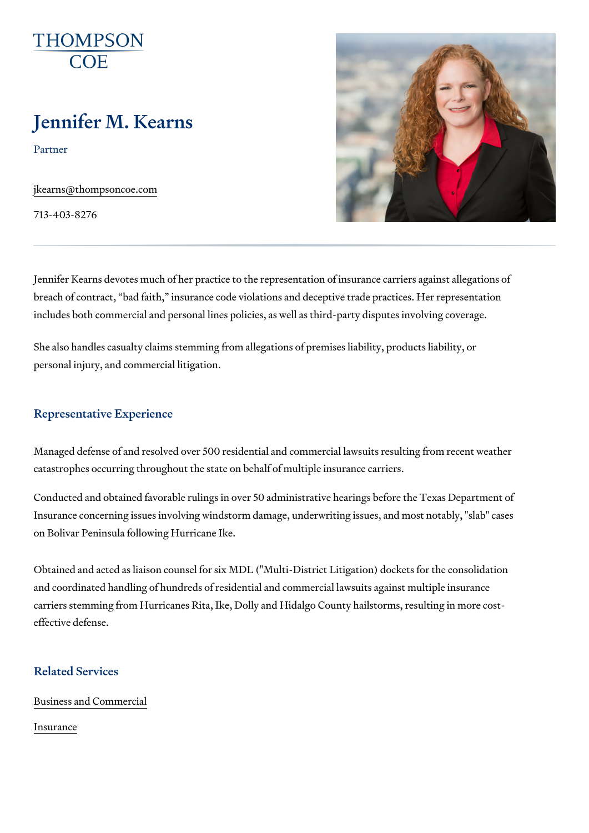# Jennifer M. Kearns

Partner

[jkearns@thompso](mailto:jkearns@thompsoncoe.com)ncoe.com

713-403-8276

Jennifer Kearns devotes much of her practice to the representation of insurance carriers against against again breach of contract, bad faith, insurance code violations and deceptive trade practice. includes both commercial and personal lines policies, as well as third-part

She also handles casualty claims stemming from allegations of premises li personal injury, and commercial litigation.

#### Representative Experience

Managed defense of and resolved over 500 residential and commercial laws catastrophes occurring throughout the state on behalf of multiple insuranc

Conducted and obtained favorable rulings in over 50 administrative hearing Insurance concerning issues involving windstorm damage, underwriting iss on Bolivar Peninsula following Hurricane Ike.

Obtained and acted as liaison counsel for six MDL ("Multi-District Litigation and coordinated handling of hundreds of residential and commercial lawsuit carriers stemming from Hurricanes Rita, Ike, Dolly and Hidalgo County hailstorms, resulting in more controller effective defense.

## Related Services

[Business and C](https://www.thompsoncoe.com/people/jennifer-m-kearns/)ommercial

[Insura](https://www.thompsoncoe.com/people/jennifer-m-kearns/)nce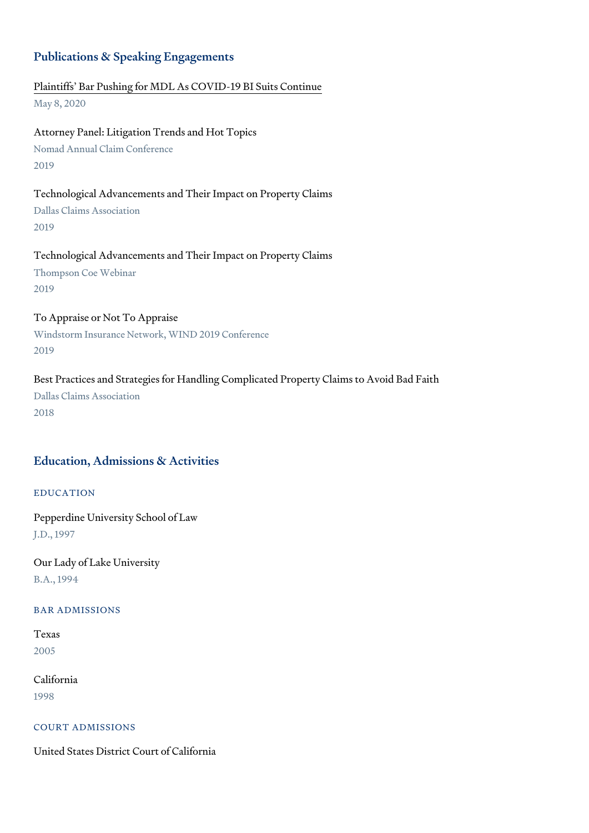#### Publications & Speaking Engagements

[Plaintiffs Bar Pushing for MDL As COV](https://www.thompsoncoe.com/resources/publications/plaintiffs-bar-pushing-for-mdl-as-covid-19-bi-suits-continue/)ID-19 BI Suits Continue May 8, 2020

Attorney Panel: Litigation Trends and Hot Topics Nomad Annual Claim Conference 2019

Technological Advancements and Their Impact on Property Claims Dallas Claims Association 2019

Technological Advancements and Their Impact on Property Claims Thompson Coe Webinar 2019

To Appraise or Not To Appraise Windstorm Insurance Network, WIND 2019 Conference 2019

Best Practices and Strategies for Handling Complicated Property Claims to Dallas Claims Association 2018

# Education, Admissions & Activities

# EDUCATION

Pepperdine University School of Law J.D., 1997

Our Lady of Lake University B.A., 1994

#### BAR ADMISSIONS

Texas 2005

California 1998

#### COURT ADMISSIONS

United States District Court of California